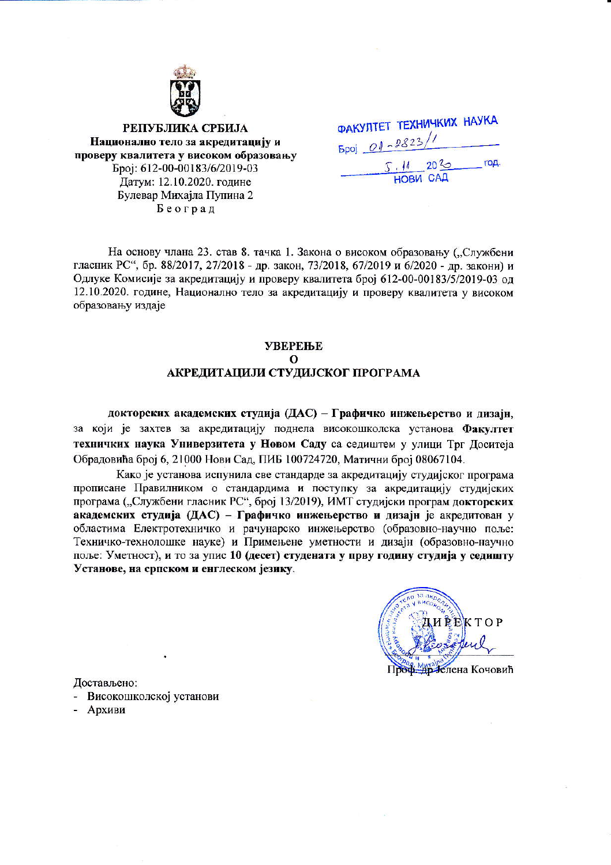

РЕПУБЛИКА СРБИЈА Национално тело за акредитацију и проверу квалитета у високом образовању Epoj: 612-00-00183/6/2019-03 Латум: 12.10.2020. године Булевар Михајла Пупина 2 Београд

| ФАКУЛТЕТ ТЕХНИЧКИХ НАУКА |          |                  |      |
|--------------------------|----------|------------------|------|
| $5poj$ $01 - 2823/1$     |          |                  |      |
|                          | 7.11 20% | <b>HOBU CALL</b> | год. |

На основу члана 23. став 8. тачка 1. Закона о високом образовању ("Службени гласник РС", бр. 88/2017, 27/2018 - др. закон, 73/2018, 67/2019 и 6/2020 - др. закони) и Одлуке Комисије за акредитацију и проверу квалитета број 612-00-00183/5/2019-03 од 12.10.2020. године, Национално тело за акредитацију и проверу квалитета у високом образовању издаје

### **УВЕРЕЊЕ**  $\Omega$ АКРЕДИТАЦИЈИ СТУДИЈСКОГ ПРОГРАМА

докторских академских студија (ДАС) - Графичко инжењерство и дизајн, за који је захтев за акредитацију поднела високошколска установа Факултет техничких наука Универзитета у Новом Саду са седиштем у улици Трг Доситеја Обрадовића број 6, 21000 Нови Сад, ПИБ 100724720, Матични број 08067104.

Како је установа испунила све стандарде за акредитацију студијског програма прописане Правилником о стандардима и поступку за акредитацију студијских програма ("Службени гласник РС", број 13/2019), ИМТ студијски програм докторских академских студија (ДАС) - Графичко инжењерство и дизајн је акредитован у областима Електротехничко и рачунарско инжењерство (образовно-научно поље: Техничко-технолошке науке) и Примењене уметности и дизајн (образовно-научно поље: Уметност), и то за упис 10 (десет) студената у прву годину студија у седишту Установе, на српском и енглеском језику.



Достављено:

- Високошколској установи
- Архиви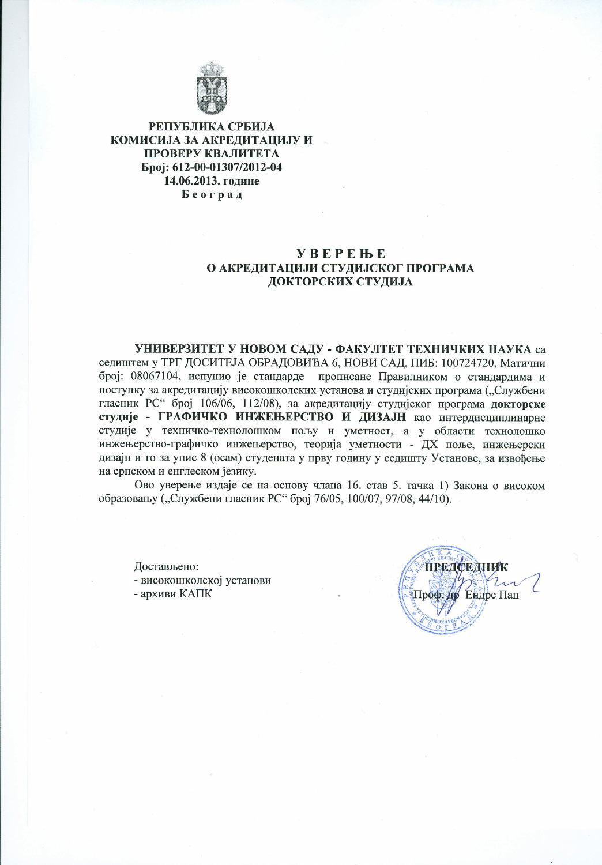

РЕПУБЛИКА СРБИЈА КОМИСИЈА ЗА АКРЕДИТАЦИЈУ И ПРОВЕРУ КВАЛИТЕТА Epoi: 612-00-01307/2012-04 14.06.2013. године Београд

## **YBEPEHE** О АКРЕДИТАЦИЈИ СТУДИЈСКОГ ПРОГРАМА ДОКТОРСКИХ СТУДИЈА

УНИВЕРЗИТЕТ У НОВОМ САДУ - ФАКУЛТЕТ ТЕХНИЧКИХ НАУКА са седиштем у ТРГ ДОСИТЕЈА ОБРАДОВИЋА 6, НОВИ САД, ПИБ: 100724720, Матични број: 08067104, испунио је стандарде прописане Правилником о стандардима и поступку за акредитацију високошколских установа и студијских програма ("Службени гласник РС" број 106/06, 112/08), за акредитацију студијског програма докторске студије - ГРАФИЧКО ИНЖЕЊЕРСТВО И ДИЗАЈН као интердисциплинарне студије у техничко-технолошком пољу и уметност, а у области технолошко инжењерство-графичко инжењерство, теорија уметности - ДХ поље, инжењерски дизајн и то за упис 8 (осам) студената у прву годину у седишту Установе, за извођење на српском и енглеском језику.

Ово уверење издаје се на основу члана 16. став 5. тачка 1) Закона о високом образовању ("Службени гласник РС" број 76/05, 100/07, 97/08, 44/10).

Достављено:

- високошколској установи

- архиви КАПК

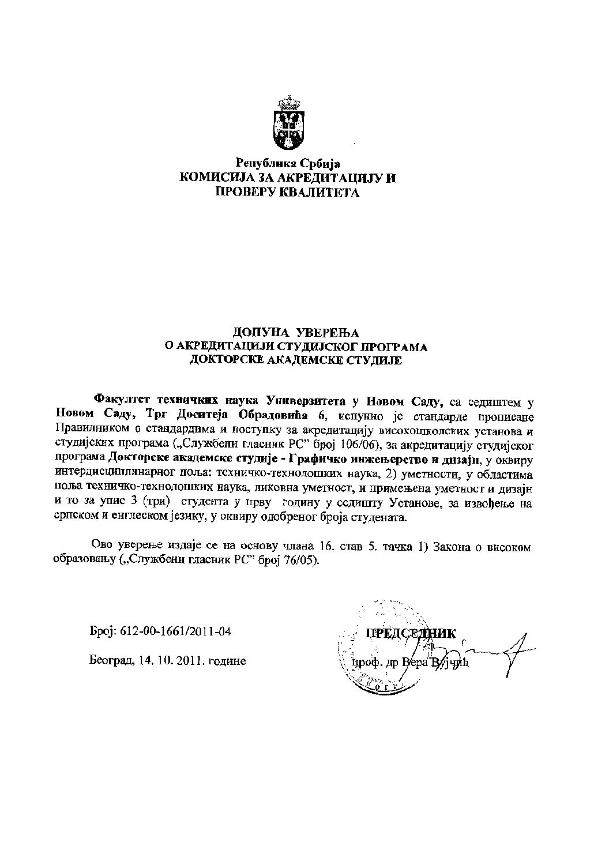

# Република Србија КОМИСИЈА ЗА АКРЕДИТАЦИЈУ И ПРОВЕРУ КВАЛИТЕТА

### ДОПУНА УВЕРЕЊА О АКРЕДИТАЦИЈИ СТУДИЈСКОГ ПРОГРАМА ДОКТОРСКЕ АКАДЕМСКЕ СТУДИЈЕ

Факултет техничких наука Универзитета у Новом Саду, са седиштем у Новом Саду, Трг Доситеја Обрадовића 6, испунио је стандарде прописане Правилником о стандардима и поступку за акредитацију високошколских установа и студијских програма ("Службени гласник РС" број 106/06), за акредитацију студијског програма Докторске академске студије - Графичко инжењерство и дизајн, у оквиру интердисциплинарног поља: техничко-технолошких наука, 2) уметности, у областима поља техничко-технолошких наука, ликовна уметност, и примењена уметност и дизајн и то за упис 3 (три) студента у прву годину у седишту Установе, за извођење на српском и енглеском језику, у оквиру одобреног броја студената.

Ово уверење издаје се на основу члана 16. став 5. тачка 1) Закона о високом образовању ("Службени гласник РС" број 76/05).

Epoj: 612-00-1661/2011-04

Београд, 14. 10. 2011. године